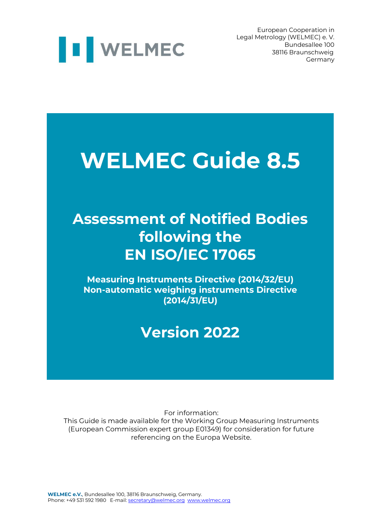

European Cooperation in Legal Metrology (WELMEC) e. V. 38116 Braunschweig Germany

## **WELMEC Guide 8.5**

## **Assessment of Notified Bodies following the EN ISO/IEC 17065**

**Measuring Instruments Directive (2014/32/EU) Non-automatic weighing instruments Directive (2014/31/EU)**

## **Version 2022**

For information:

This Guide is made available for the Working Group Measuring Instruments (European Commission expert group E01349) for consideration for future referencing on the Europa Website.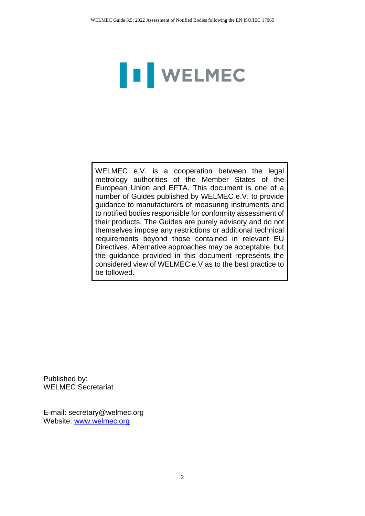# **II** WELMEC

WELMEC e.V. is a cooperation between the legal metrology authorities of the Member States of the European Union and EFTA. This document is one of a number of Guides published by WELMEC e.V. to provide guidance to manufacturers of measuring instruments and to notified bodies responsible for conformity assessment of their products. The Guides are purely advisory and do not themselves impose any restrictions or additional technical requirements beyond those contained in relevant EU Directives. Alternative approaches may be acceptable, but the guidance provided in this document represents the considered view of WELMEC e.V as to the best practice to be followed.

Published by: WELMEC Secretariat

E-mail: secretary@welmec.org Website: www.welmec.org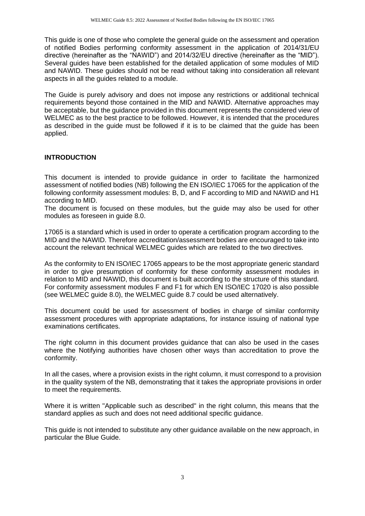This guide is one of those who complete the general guide on the assessment and operation of notified Bodies performing conformity assessment in the application of 2014/31/EU directive (hereinafter as the "NAWID") and 2014/32/EU directive (hereinafter as the "MID"). Several guides have been established for the detailed application of some modules of MID and NAWID. These guides should not be read without taking into consideration all relevant aspects in all the guides related to a module.

The Guide is purely advisory and does not impose any restrictions or additional technical requirements beyond those contained in the MID and NAWID. Alternative approaches may be acceptable, but the guidance provided in this document represents the considered view of WELMEC as to the best practice to be followed. However, it is intended that the procedures as described in the guide must be followed if it is to be claimed that the guide has been applied.

### **INTRODUCTION**

This document is intended to provide guidance in order to facilitate the harmonized assessment of notified bodies (NB) following the EN ISO/IEC 17065 for the application of the following conformity assessment modules: B, D, and F according to MID and NAWID and H1 according to MID.

The document is focused on these modules, but the guide may also be used for other modules as foreseen in guide 8.0.

17065 is a standard which is used in order to operate a certification program according to the MID and the NAWID. Therefore accreditation/assessment bodies are encouraged to take into account the relevant technical WELMEC guides which are related to the two directives.

As the conformity to EN ISO/IEC 17065 appears to be the most appropriate generic standard in order to give presumption of conformity for these conformity assessment modules in relation to MID and NAWID, this document is built according to the structure of this standard. For conformity assessment modules F and F1 for which EN ISO/IEC 17020 is also possible (see WELMEC guide 8.0), the WELMEC guide 8.7 could be used alternatively.

This document could be used for assessment of bodies in charge of similar conformity assessment procedures with appropriate adaptations, for instance issuing of national type examinations certificates.

The right column in this document provides guidance that can also be used in the cases where the Notifying authorities have chosen other ways than accreditation to prove the conformity.

In all the cases, where a provision exists in the right column, it must correspond to a provision in the quality system of the NB, demonstrating that it takes the appropriate provisions in order to meet the requirements.

Where it is written "Applicable such as described" in the right column, this means that the standard applies as such and does not need additional specific guidance.

This guide is not intended to substitute any other guidance available on the new approach, in particular the Blue Guide.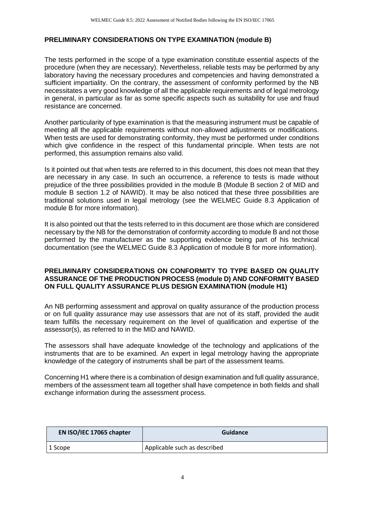### **PRELIMINARY CONSIDERATIONS ON TYPE EXAMINATION (module B)**

The tests performed in the scope of a type examination constitute essential aspects of the procedure (when they are necessary). Nevertheless, reliable tests may be performed by any laboratory having the necessary procedures and competencies and having demonstrated a sufficient impartiality. On the contrary, the assessment of conformity performed by the NB necessitates a very good knowledge of all the applicable requirements and of legal metrology in general, in particular as far as some specific aspects such as suitability for use and fraud resistance are concerned.

Another particularity of type examination is that the measuring instrument must be capable of meeting all the applicable requirements without non-allowed adjustments or modifications. When tests are used for demonstrating conformity, they must be performed under conditions which give confidence in the respect of this fundamental principle. When tests are not performed, this assumption remains also valid.

Is it pointed out that when tests are referred to in this document, this does not mean that they are necessary in any case. In such an occurrence, a reference to tests is made without prejudice of the three possibilities provided in the module B (Module B section 2 of MID and module B section 1.2 of NAWID). It may be also noticed that these three possibilities are traditional solutions used in legal metrology (see the WELMEC Guide 8.3 Application of module B for more information).

It is also pointed out that the tests referred to in this document are those which are considered necessary by the NB for the demonstration of conformity according to module B and not those performed by the manufacturer as the supporting evidence being part of his technical documentation (see the WELMEC Guide 8.3 Application of module B for more information).

#### **PRELIMINARY CONSIDERATIONS ON CONFORMITY TO TYPE BASED ON QUALITY ASSURANCE OF THE PRODUCTION PROCESS (module D) AND CONFORMITY BASED ON FULL QUALITY ASSURANCE PLUS DESIGN EXAMINATION (module H1)**

An NB performing assessment and approval on quality assurance of the production process or on full quality assurance may use assessors that are not of its staff, provided the audit team fulfills the necessary requirement on the level of qualification and expertise of the assessor(s), as referred to in the MID and NAWID.

The assessors shall have adequate knowledge of the technology and applications of the instruments that are to be examined. An expert in legal metrology having the appropriate knowledge of the category of instruments shall be part of the assessment teams.

Concerning H1 where there is a combination of design examination and full quality assurance, members of the assessment team all together shall have competence in both fields and shall exchange information during the assessment process.

| EN ISO/IEC 17065 chapter | <b>Guidance</b>              |
|--------------------------|------------------------------|
| 1 Scope                  | Applicable such as described |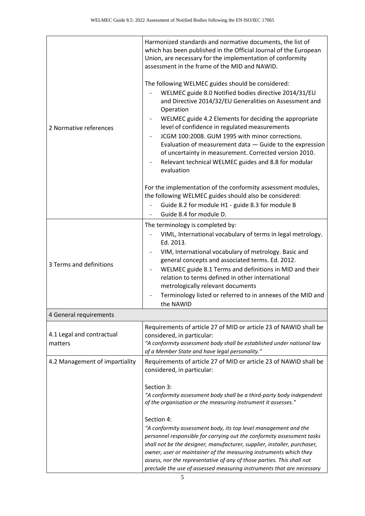| 2 Normative references               | Harmonized standards and normative documents, the list of<br>which has been published in the Official Journal of the European<br>Union, are necessary for the implementation of conformity<br>assessment in the frame of the MID and NAWID.<br>The following WELMEC guides should be considered:<br>WELMEC guide 8.0 Notified bodies directive 2014/31/EU<br>and Directive 2014/32/EU Generalities on Assessment and<br>Operation<br>WELMEC guide 4.2 Elements for deciding the appropriate<br>level of confidence in regulated measurements<br>JCGM 100:2008. GUM 1995 with minor corrections.<br>Evaluation of measurement data - Guide to the expression<br>of uncertainty in measurement. Corrected version 2010.<br>Relevant technical WELMEC guides and 8.8 for modular<br>evaluation<br>For the implementation of the conformity assessment modules, |
|--------------------------------------|-------------------------------------------------------------------------------------------------------------------------------------------------------------------------------------------------------------------------------------------------------------------------------------------------------------------------------------------------------------------------------------------------------------------------------------------------------------------------------------------------------------------------------------------------------------------------------------------------------------------------------------------------------------------------------------------------------------------------------------------------------------------------------------------------------------------------------------------------------------|
|                                      | the following WELMEC guides should also be considered:<br>Guide 8.2 for module H1 - guide 8.3 for module B<br>Guide 8.4 for module D.                                                                                                                                                                                                                                                                                                                                                                                                                                                                                                                                                                                                                                                                                                                       |
|                                      | The terminology is completed by:                                                                                                                                                                                                                                                                                                                                                                                                                                                                                                                                                                                                                                                                                                                                                                                                                            |
| 3 Terms and definitions              | VIML, International vocabulary of terms in legal metrology.<br>Ed. 2013.<br>VIM, International vocabulary of metrology. Basic and<br>general concepts and associated terms. Ed. 2012.<br>WELMEC guide 8.1 Terms and definitions in MID and their<br>relation to terms defined in other international<br>metrologically relevant documents<br>Terminology listed or referred to in annexes of the MID and<br>the NAWID                                                                                                                                                                                                                                                                                                                                                                                                                                       |
| 4 General requirements               |                                                                                                                                                                                                                                                                                                                                                                                                                                                                                                                                                                                                                                                                                                                                                                                                                                                             |
| 4.1 Legal and contractual<br>matters | Requirements of article 27 of MID or article 23 of NAWID shall be<br>considered, in particular:<br>"A conformity assessment body shall be established under national law<br>of a Member State and have legal personality."                                                                                                                                                                                                                                                                                                                                                                                                                                                                                                                                                                                                                                  |
| 4.2 Management of impartiality       | Requirements of article 27 of MID or article 23 of NAWID shall be<br>considered, in particular:<br>Section 3:<br>"A conformity assessment body shall be a third-party body independent<br>of the organisation or the measuring instrument it assesses."<br>Section 4:<br>"A conformity assessment body, its top level management and the<br>personnel responsible for carrying out the conformity assessment tasks<br>shall not be the designer, manufacturer, supplier, installer, purchaser,<br>owner, user or maintainer of the measuring instruments which they<br>assess, nor the representative of any of those parties. This shall not<br>preclude the use of assessed measuring instruments that are necessary                                                                                                                                      |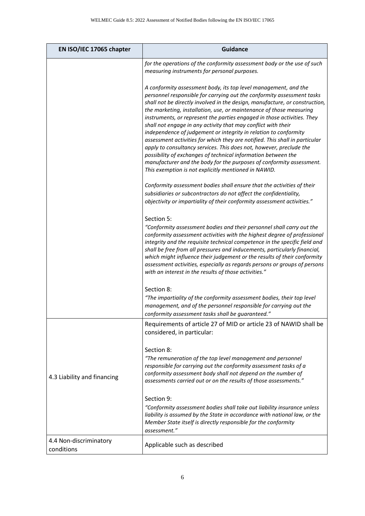| EN ISO/IEC 17065 chapter             | <b>Guidance</b>                                                                                                                                                                                                                                                                                                                                                                                                                                                                                                                                                                                                                                                                                                                                                                                                                                                        |
|--------------------------------------|------------------------------------------------------------------------------------------------------------------------------------------------------------------------------------------------------------------------------------------------------------------------------------------------------------------------------------------------------------------------------------------------------------------------------------------------------------------------------------------------------------------------------------------------------------------------------------------------------------------------------------------------------------------------------------------------------------------------------------------------------------------------------------------------------------------------------------------------------------------------|
|                                      | for the operations of the conformity assessment body or the use of such<br>measuring instruments for personal purposes.                                                                                                                                                                                                                                                                                                                                                                                                                                                                                                                                                                                                                                                                                                                                                |
|                                      | A conformity assessment body, its top level management, and the<br>personnel responsible for carrying out the conformity assessment tasks<br>shall not be directly involved in the design, manufacture, or construction,<br>the marketing, installation, use, or maintenance of those measuring<br>instruments, or represent the parties engaged in those activities. They<br>shall not engage in any activity that may conflict with their<br>independence of judgement or integrity in relation to conformity<br>assessment activities for which they are notified. This shall in particular<br>apply to consultancy services. This does not, however, preclude the<br>possibility of exchanges of technical information between the<br>manufacturer and the body for the purposes of conformity assessment.<br>This exemption is not explicitly mentioned in NAWID. |
|                                      | Conformity assessment bodies shall ensure that the activities of their<br>subsidiaries or subcontractors do not affect the confidentiality,<br>objectivity or impartiality of their conformity assessment activities."                                                                                                                                                                                                                                                                                                                                                                                                                                                                                                                                                                                                                                                 |
|                                      | Section 5:<br>"Conformity assessment bodies and their personnel shall carry out the<br>conformity assessment activities with the highest degree of professional<br>integrity and the requisite technical competence in the specific field and<br>shall be free from all pressures and inducements, particularly financial,<br>which might influence their judgement or the results of their conformity<br>assessment activities, especially as regards persons or groups of persons<br>with an interest in the results of those activities."                                                                                                                                                                                                                                                                                                                           |
|                                      | Section 8:<br>"The impartiality of the conformity assessment bodies, their top level<br>management, and of the personnel responsible for carrying out the<br>conformity assessment tasks shall be guaranteed."                                                                                                                                                                                                                                                                                                                                                                                                                                                                                                                                                                                                                                                         |
|                                      | Requirements of article 27 of MID or article 23 of NAWID shall be<br>considered, in particular:                                                                                                                                                                                                                                                                                                                                                                                                                                                                                                                                                                                                                                                                                                                                                                        |
| 4.3 Liability and financing          | Section 8:<br>"The remuneration of the top level management and personnel<br>responsible for carrying out the conformity assessment tasks of a<br>conformity assessment body shall not depend on the number of<br>assessments carried out or on the results of those assessments."                                                                                                                                                                                                                                                                                                                                                                                                                                                                                                                                                                                     |
|                                      | Section 9:<br>"Conformity assessment bodies shall take out liability insurance unless<br>liability is assumed by the State in accordance with national law, or the<br>Member State itself is directly responsible for the conformity<br>assessment."                                                                                                                                                                                                                                                                                                                                                                                                                                                                                                                                                                                                                   |
| 4.4 Non-discriminatory<br>conditions | Applicable such as described                                                                                                                                                                                                                                                                                                                                                                                                                                                                                                                                                                                                                                                                                                                                                                                                                                           |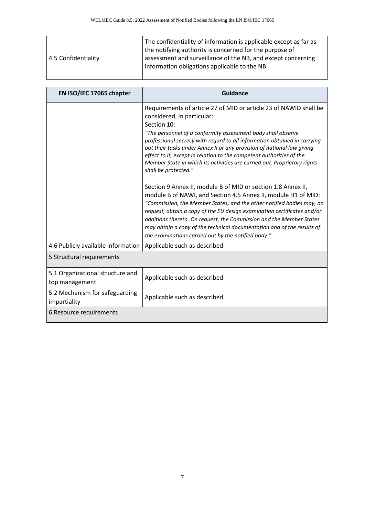| 4.5 Confidentiality | The confidentiality of information is applicable except as far as<br>the notifying authority is concerned for the purpose of<br>assessment and surveillance of the NB, and except concerning<br>information obligations applicable to the NB. |
|---------------------|-----------------------------------------------------------------------------------------------------------------------------------------------------------------------------------------------------------------------------------------------|
|---------------------|-----------------------------------------------------------------------------------------------------------------------------------------------------------------------------------------------------------------------------------------------|

| EN ISO/IEC 17065 chapter                           | <b>Guidance</b>                                                                                                                                                                                                                                                                                                                                                                                                                                                                                                  |
|----------------------------------------------------|------------------------------------------------------------------------------------------------------------------------------------------------------------------------------------------------------------------------------------------------------------------------------------------------------------------------------------------------------------------------------------------------------------------------------------------------------------------------------------------------------------------|
|                                                    | Requirements of article 27 of MID or article 23 of NAWID shall be<br>considered, in particular:<br>Section 10:<br>"The personnel of a conformity assessment body shall observe<br>professional secrecy with regard to all information obtained in carrying<br>out their tasks under Annex II or any provision of national law giving<br>effect to it, except in relation to the competent authorities of the<br>Member State in which its activities are carried out. Proprietary rights<br>shall be protected." |
|                                                    | Section 9 Annex II, module B of MID or section 1.8 Annex II,<br>module B of NAWI, and Section 4.5 Annex II, module H1 of MID:<br>"Commission, the Member States, and the other notified bodies may, on<br>request, obtain a copy of the EU design examination certificates and/or<br>additions thereto. On request, the Commission and the Member States<br>may obtain a copy of the technical documentation and of the results of<br>the examinations carried out by the notified body."                        |
| 4.6 Publicly available information                 | Applicable such as described                                                                                                                                                                                                                                                                                                                                                                                                                                                                                     |
| 5 Structural requirements                          |                                                                                                                                                                                                                                                                                                                                                                                                                                                                                                                  |
| 5.1 Organizational structure and<br>top management | Applicable such as described                                                                                                                                                                                                                                                                                                                                                                                                                                                                                     |
| 5.2 Mechanism for safeguarding<br>impartiality     | Applicable such as described                                                                                                                                                                                                                                                                                                                                                                                                                                                                                     |
| 6 Resource requirements                            |                                                                                                                                                                                                                                                                                                                                                                                                                                                                                                                  |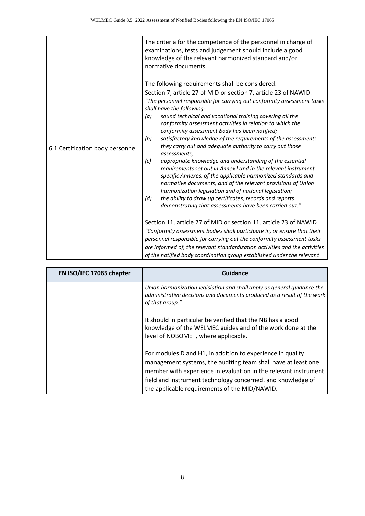|                                  | The criteria for the competence of the personnel in charge of<br>examinations, tests and judgement should include a good<br>knowledge of the relevant harmonized standard and/or<br>normative documents.                                                                                                                                                                                        |
|----------------------------------|-------------------------------------------------------------------------------------------------------------------------------------------------------------------------------------------------------------------------------------------------------------------------------------------------------------------------------------------------------------------------------------------------|
|                                  | The following requirements shall be considered:                                                                                                                                                                                                                                                                                                                                                 |
|                                  | Section 7, article 27 of MID or section 7, article 23 of NAWID:                                                                                                                                                                                                                                                                                                                                 |
|                                  | "The personnel responsible for carrying out conformity assessment tasks<br>shall have the following:                                                                                                                                                                                                                                                                                            |
| 6.1 Certification body personnel | sound technical and vocational training covering all the<br>(a)<br>conformity assessment activities in relation to which the<br>conformity assessment body has been notified;                                                                                                                                                                                                                   |
|                                  | satisfactory knowledge of the requirements of the assessments<br>(b)<br>they carry out and adequate authority to carry out those<br>assessments;                                                                                                                                                                                                                                                |
|                                  | appropriate knowledge and understanding of the essential<br>(c)<br>requirements set out in Annex I and in the relevant instrument-<br>specific Annexes, of the applicable harmonized standards and<br>normative documents, and of the relevant provisions of Union<br>harmonization legislation and of national legislation;<br>the ability to draw up certificates, records and reports<br>(d) |
|                                  | demonstrating that assessments have been carried out."                                                                                                                                                                                                                                                                                                                                          |
|                                  | Section 11, article 27 of MID or section 11, article 23 of NAWID:                                                                                                                                                                                                                                                                                                                               |
|                                  | "Conformity assessment bodies shall participate in, or ensure that their                                                                                                                                                                                                                                                                                                                        |
|                                  | personnel responsible for carrying out the conformity assessment tasks                                                                                                                                                                                                                                                                                                                          |
|                                  | are informed of, the relevant standardization activities and the activities                                                                                                                                                                                                                                                                                                                     |
|                                  | of the notified body coordination group established under the relevant                                                                                                                                                                                                                                                                                                                          |

| EN ISO/IEC 17065 chapter | Guidance                                                                                                                                                                                                                                                                                                       |
|--------------------------|----------------------------------------------------------------------------------------------------------------------------------------------------------------------------------------------------------------------------------------------------------------------------------------------------------------|
|                          | Union harmonization legislation and shall apply as general guidance the<br>administrative decisions and documents produced as a result of the work<br>of that group."                                                                                                                                          |
|                          | It should in particular be verified that the NB has a good<br>knowledge of the WELMEC guides and of the work done at the<br>level of NOBOMET, where applicable.                                                                                                                                                |
|                          | For modules D and H1, in addition to experience in quality<br>management systems, the auditing team shall have at least one<br>member with experience in evaluation in the relevant instrument<br>field and instrument technology concerned, and knowledge of<br>the applicable requirements of the MID/NAWID. |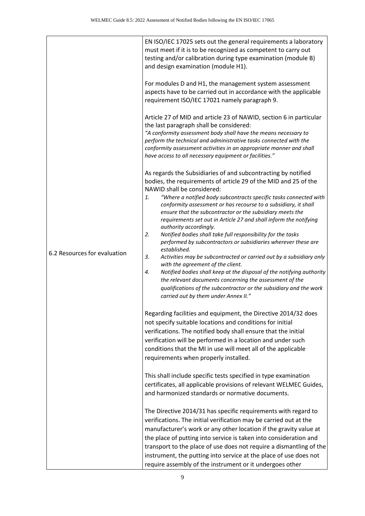|                              | EN ISO/IEC 17025 sets out the general requirements a laboratory<br>must meet if it is to be recognized as competent to carry out<br>testing and/or calibration during type examination (module B)<br>and design examination (module H1).                                                                                                                                                                                                                                                                                                                                                                                                                                                                                                                                                                                                                                                                                                                                                                   |
|------------------------------|------------------------------------------------------------------------------------------------------------------------------------------------------------------------------------------------------------------------------------------------------------------------------------------------------------------------------------------------------------------------------------------------------------------------------------------------------------------------------------------------------------------------------------------------------------------------------------------------------------------------------------------------------------------------------------------------------------------------------------------------------------------------------------------------------------------------------------------------------------------------------------------------------------------------------------------------------------------------------------------------------------|
| 6.2 Resources for evaluation | For modules D and H1, the management system assessment<br>aspects have to be carried out in accordance with the applicable<br>requirement ISO/IEC 17021 namely paragraph 9.                                                                                                                                                                                                                                                                                                                                                                                                                                                                                                                                                                                                                                                                                                                                                                                                                                |
|                              | Article 27 of MID and article 23 of NAWID, section 6 in particular<br>the last paragraph shall be considered:<br>"A conformity assessment body shall have the means necessary to<br>perform the technical and administrative tasks connected with the<br>conformity assessment activities in an appropriate manner and shall<br>have access to all necessary equipment or facilities."                                                                                                                                                                                                                                                                                                                                                                                                                                                                                                                                                                                                                     |
|                              | As regards the Subsidiaries of and subcontracting by notified<br>bodies, the requirements of article 29 of the MID and 25 of the<br>NAWID shall be considered:<br>"Where a notified body subcontracts specific tasks connected with<br>1.<br>conformity assessment or has recourse to a subsidiary, it shall<br>ensure that the subcontractor or the subsidiary meets the<br>requirements set out in Article 27 and shall inform the notifying<br>authority accordingly.<br>2.<br>Notified bodies shall take full responsibility for the tasks<br>performed by subcontractors or subsidiaries wherever these are<br>established.<br>3.<br>Activities may be subcontracted or carried out by a subsidiary only<br>with the agreement of the client.<br>Notified bodies shall keep at the disposal of the notifying authority<br>4.<br>the relevant documents concerning the assessment of the<br>qualifications of the subcontractor or the subsidiary and the work<br>carried out by them under Annex II." |
|                              | Regarding facilities and equipment, the Directive 2014/32 does<br>not specify suitable locations and conditions for initial<br>verifications. The notified body shall ensure that the initial<br>verification will be performed in a location and under such<br>conditions that the MI in use will meet all of the applicable<br>requirements when properly installed.                                                                                                                                                                                                                                                                                                                                                                                                                                                                                                                                                                                                                                     |
|                              | This shall include specific tests specified in type examination<br>certificates, all applicable provisions of relevant WELMEC Guides,<br>and harmonized standards or normative documents.                                                                                                                                                                                                                                                                                                                                                                                                                                                                                                                                                                                                                                                                                                                                                                                                                  |
|                              | The Directive 2014/31 has specific requirements with regard to<br>verifications. The initial verification may be carried out at the<br>manufacturer's work or any other location if the gravity value at<br>the place of putting into service is taken into consideration and<br>transport to the place of use does not require a dismantling of the<br>instrument, the putting into service at the place of use does not<br>require assembly of the instrument or it undergoes other                                                                                                                                                                                                                                                                                                                                                                                                                                                                                                                      |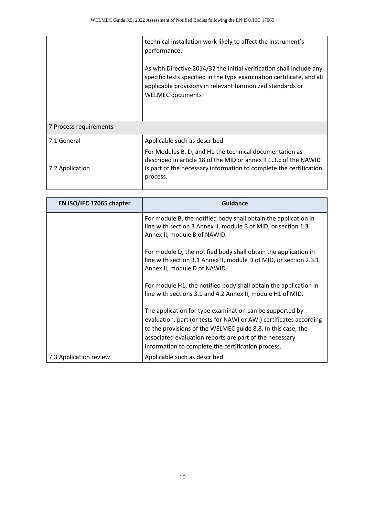|                        | technical installation work likely to affect the instrument's<br>performance.<br>As with Directive 2014/32 the initial verification shall include any<br>specific tests specified in the type examination certificate, and all<br>applicable provisions in relevant harmonized standards or<br><b>WELMEC</b> documents |
|------------------------|------------------------------------------------------------------------------------------------------------------------------------------------------------------------------------------------------------------------------------------------------------------------------------------------------------------------|
| 7 Process requirements |                                                                                                                                                                                                                                                                                                                        |
| 7.1 General            | Applicable such as described                                                                                                                                                                                                                                                                                           |
| 7.2 Application        | For Modules B, D, and H1 the technical documentation as<br>described in article 18 of the MID or annex II 1.3.c of the NAWID<br>is part of the necessary information to complete the certification<br>process.                                                                                                         |

| EN ISO/IEC 17065 chapter | <b>Guidance</b>                                                                                                                                                                                                                                                                                                 |
|--------------------------|-----------------------------------------------------------------------------------------------------------------------------------------------------------------------------------------------------------------------------------------------------------------------------------------------------------------|
|                          | For module B, the notified body shall obtain the application in<br>line with section 3 Annex II, module B of MID, or section 1.3<br>Annex II, module B of NAWID.                                                                                                                                                |
|                          | For module D, the notified body shall obtain the application in<br>line with section 3.1 Annex II, module D of MID, or section 2.3.1<br>Annex II, module D of NAWID.                                                                                                                                            |
|                          | For module H1, the notified body shall obtain the application in<br>line with sections 3.1 and 4.2 Annex II, module H1 of MID.                                                                                                                                                                                  |
|                          | The application for type examination can be supported by<br>evaluation, part (or tests for NAWI or AWI) certificates according<br>to the provisions of the WELMEC guide 8.8. In this case, the<br>associated evaluation reports are part of the necessary<br>information to complete the certification process. |
| 7.3 Application review   | Applicable such as described                                                                                                                                                                                                                                                                                    |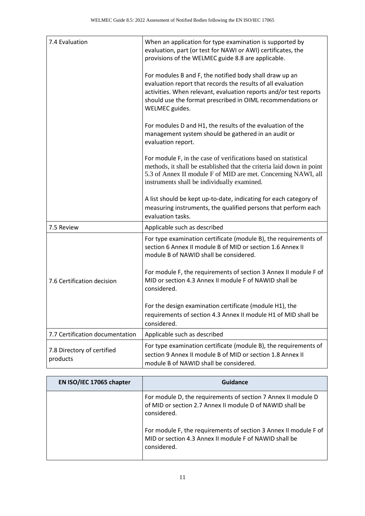| 7.4 Evaluation                         | When an application for type examination is supported by<br>evaluation, part (or test for NAWI or AWI) certificates, the<br>provisions of the WELMEC guide 8.8 are applicable.                                                                                                |
|----------------------------------------|-------------------------------------------------------------------------------------------------------------------------------------------------------------------------------------------------------------------------------------------------------------------------------|
|                                        | For modules B and F, the notified body shall draw up an<br>evaluation report that records the results of all evaluation<br>activities. When relevant, evaluation reports and/or test reports<br>should use the format prescribed in OIML recommendations or<br>WELMEC guides. |
|                                        | For modules D and H1, the results of the evaluation of the<br>management system should be gathered in an audit or<br>evaluation report.                                                                                                                                       |
|                                        | For module F, in the case of verifications based on statistical<br>methods, it shall be established that the criteria laid down in point<br>5.3 of Annex II module F of MID are met. Concerning NAWI, all<br>instruments shall be individually examined.                      |
|                                        | A list should be kept up-to-date, indicating for each category of<br>measuring instruments, the qualified persons that perform each<br>evaluation tasks.                                                                                                                      |
| 7.5 Review                             | Applicable such as described                                                                                                                                                                                                                                                  |
|                                        | For type examination certificate (module B), the requirements of<br>section 6 Annex II module B of MID or section 1.6 Annex II<br>module B of NAWID shall be considered.                                                                                                      |
| 7.6 Certification decision             | For module F, the requirements of section 3 Annex II module F of<br>MID or section 4.3 Annex II module F of NAWID shall be<br>considered.                                                                                                                                     |
|                                        | For the design examination certificate (module H1), the<br>requirements of section 4.3 Annex II module H1 of MID shall be<br>considered.                                                                                                                                      |
| 7.7 Certification documentation        | Applicable such as described                                                                                                                                                                                                                                                  |
| 7.8 Directory of certified<br>products | For type examination certificate (module B), the requirements of<br>section 9 Annex II module B of MID or section 1.8 Annex II<br>module B of NAWID shall be considered.                                                                                                      |

| EN ISO/IEC 17065 chapter | Guidance                                                                                                                                  |
|--------------------------|-------------------------------------------------------------------------------------------------------------------------------------------|
|                          | For module D, the requirements of section 7 Annex II module D<br>of MID or section 2.7 Annex II module D of NAWID shall be<br>considered. |
|                          | For module F, the requirements of section 3 Annex II module F of<br>MID or section 4.3 Annex II module F of NAWID shall be<br>considered. |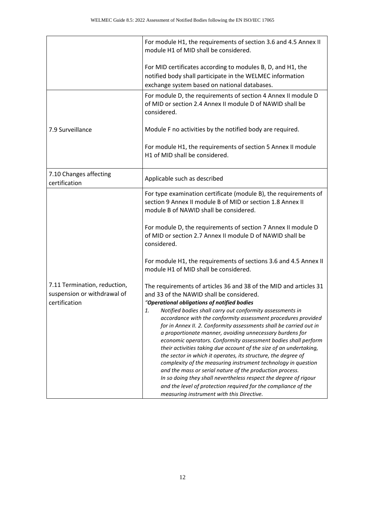|                                                                              | For module H1, the requirements of section 3.6 and 4.5 Annex II<br>module H1 of MID shall be considered.                                                                                                                                                                                                                                                                                                                                                                                                                                                                                                                                                                                                                                                                                                                                                                                                                                                    |
|------------------------------------------------------------------------------|-------------------------------------------------------------------------------------------------------------------------------------------------------------------------------------------------------------------------------------------------------------------------------------------------------------------------------------------------------------------------------------------------------------------------------------------------------------------------------------------------------------------------------------------------------------------------------------------------------------------------------------------------------------------------------------------------------------------------------------------------------------------------------------------------------------------------------------------------------------------------------------------------------------------------------------------------------------|
|                                                                              | For MID certificates according to modules B, D, and H1, the<br>notified body shall participate in the WELMEC information<br>exchange system based on national databases.                                                                                                                                                                                                                                                                                                                                                                                                                                                                                                                                                                                                                                                                                                                                                                                    |
|                                                                              | For module D, the requirements of section 4 Annex II module D<br>of MID or section 2.4 Annex II module D of NAWID shall be<br>considered.                                                                                                                                                                                                                                                                                                                                                                                                                                                                                                                                                                                                                                                                                                                                                                                                                   |
| 7.9 Surveillance                                                             | Module F no activities by the notified body are required.                                                                                                                                                                                                                                                                                                                                                                                                                                                                                                                                                                                                                                                                                                                                                                                                                                                                                                   |
|                                                                              | For module H1, the requirements of section 5 Annex II module<br>H1 of MID shall be considered.                                                                                                                                                                                                                                                                                                                                                                                                                                                                                                                                                                                                                                                                                                                                                                                                                                                              |
| 7.10 Changes affecting<br>certification                                      | Applicable such as described                                                                                                                                                                                                                                                                                                                                                                                                                                                                                                                                                                                                                                                                                                                                                                                                                                                                                                                                |
|                                                                              | For type examination certificate (module B), the requirements of<br>section 9 Annex II module B of MID or section 1.8 Annex II<br>module B of NAWID shall be considered.                                                                                                                                                                                                                                                                                                                                                                                                                                                                                                                                                                                                                                                                                                                                                                                    |
|                                                                              | For module D, the requirements of section 7 Annex II module D<br>of MID or section 2.7 Annex II module D of NAWID shall be<br>considered.                                                                                                                                                                                                                                                                                                                                                                                                                                                                                                                                                                                                                                                                                                                                                                                                                   |
|                                                                              | For module H1, the requirements of sections 3.6 and 4.5 Annex II<br>module H1 of MID shall be considered.                                                                                                                                                                                                                                                                                                                                                                                                                                                                                                                                                                                                                                                                                                                                                                                                                                                   |
| 7.11 Termination, reduction,<br>suspension or withdrawal of<br>certification | The requirements of articles 36 and 38 of the MID and articles 31<br>and 33 of the NAWID shall be considered.<br>"Operational obligations of notified bodies<br>Notified bodies shall carry out conformity assessments in<br>1.<br>accordance with the conformity assessment procedures provided<br>for in Annex II. 2. Conformity assessments shall be carried out in<br>a proportionate manner, avoiding unnecessary burdens for<br>economic operators. Conformity assessment bodies shall perform<br>their activities taking due account of the size of an undertaking,<br>the sector in which it operates, its structure, the degree of<br>complexity of the measuring instrument technology in question<br>and the mass or serial nature of the production process.<br>In so doing they shall nevertheless respect the degree of rigour<br>and the level of protection required for the compliance of the<br>measuring instrument with this Directive. |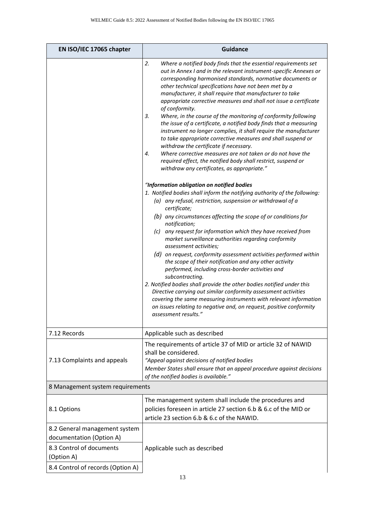| EN ISO/IEC 17065 chapter                                                                                                                 | <b>Guidance</b>                                                                                                                                                                                                                                                                                                                                                                                                                                                                                                                                                                                                                                                                                                                                                                                                                                                                                                                                                                                                                                                                                                                                                                                                                                                                                                                                                                                                                                                                                                                                                                                                                                                                                                                                                                                             |
|------------------------------------------------------------------------------------------------------------------------------------------|-------------------------------------------------------------------------------------------------------------------------------------------------------------------------------------------------------------------------------------------------------------------------------------------------------------------------------------------------------------------------------------------------------------------------------------------------------------------------------------------------------------------------------------------------------------------------------------------------------------------------------------------------------------------------------------------------------------------------------------------------------------------------------------------------------------------------------------------------------------------------------------------------------------------------------------------------------------------------------------------------------------------------------------------------------------------------------------------------------------------------------------------------------------------------------------------------------------------------------------------------------------------------------------------------------------------------------------------------------------------------------------------------------------------------------------------------------------------------------------------------------------------------------------------------------------------------------------------------------------------------------------------------------------------------------------------------------------------------------------------------------------------------------------------------------------|
|                                                                                                                                          | 2.<br>Where a notified body finds that the essential requirements set<br>out in Annex I and in the relevant instrument-specific Annexes or<br>corresponding harmonised standards, normative documents or<br>other technical specifications have not been met by a<br>manufacturer, it shall require that manufacturer to take<br>appropriate corrective measures and shall not issue a certificate<br>of conformity.<br>3.<br>Where, in the course of the monitoring of conformity following<br>the issue of a certificate, a notified body finds that a measuring<br>instrument no longer complies, it shall require the manufacturer<br>to take appropriate corrective measures and shall suspend or<br>withdraw the certificate if necessary.<br>Where corrective measures are not taken or do not have the<br>4.<br>required effect, the notified body shall restrict, suspend or<br>withdraw any certificates, as appropriate."<br>"Information obligation on notified bodies<br>1. Notified bodies shall inform the notifying authority of the following:<br>(a) any refusal, restriction, suspension or withdrawal of a<br>certificate;<br>(b) any circumstances affecting the scope of or conditions for<br>notification;<br>(c) any request for information which they have received from<br>market surveillance authorities regarding conformity<br>assessment activities;<br>(d) on request, conformity assessment activities performed within<br>the scope of their notification and any other activity<br>performed, including cross-border activities and<br>subcontracting.<br>2. Notified bodies shall provide the other bodies notified under this<br>Directive carrying out similar conformity assessment activities<br>covering the same measuring instruments with relevant information |
|                                                                                                                                          | on issues relating to negative and, on request, positive conformity<br>assessment results."                                                                                                                                                                                                                                                                                                                                                                                                                                                                                                                                                                                                                                                                                                                                                                                                                                                                                                                                                                                                                                                                                                                                                                                                                                                                                                                                                                                                                                                                                                                                                                                                                                                                                                                 |
| 7.12 Records                                                                                                                             | Applicable such as described                                                                                                                                                                                                                                                                                                                                                                                                                                                                                                                                                                                                                                                                                                                                                                                                                                                                                                                                                                                                                                                                                                                                                                                                                                                                                                                                                                                                                                                                                                                                                                                                                                                                                                                                                                                |
| 7.13 Complaints and appeals                                                                                                              | The requirements of article 37 of MID or article 32 of NAWID<br>shall be considered.<br>"Appeal against decisions of notified bodies<br>Member States shall ensure that an appeal procedure against decisions<br>of the notified bodies is available."                                                                                                                                                                                                                                                                                                                                                                                                                                                                                                                                                                                                                                                                                                                                                                                                                                                                                                                                                                                                                                                                                                                                                                                                                                                                                                                                                                                                                                                                                                                                                      |
| 8 Management system requirements                                                                                                         |                                                                                                                                                                                                                                                                                                                                                                                                                                                                                                                                                                                                                                                                                                                                                                                                                                                                                                                                                                                                                                                                                                                                                                                                                                                                                                                                                                                                                                                                                                                                                                                                                                                                                                                                                                                                             |
| 8.1 Options                                                                                                                              | The management system shall include the procedures and<br>policies foreseen in article 27 section 6.b & 6.c of the MID or<br>article 23 section 6.b & 6.c of the NAWID.                                                                                                                                                                                                                                                                                                                                                                                                                                                                                                                                                                                                                                                                                                                                                                                                                                                                                                                                                                                                                                                                                                                                                                                                                                                                                                                                                                                                                                                                                                                                                                                                                                     |
| 8.2 General management system<br>documentation (Option A)<br>8.3 Control of documents<br>(Option A)<br>8.4 Control of records (Option A) | Applicable such as described                                                                                                                                                                                                                                                                                                                                                                                                                                                                                                                                                                                                                                                                                                                                                                                                                                                                                                                                                                                                                                                                                                                                                                                                                                                                                                                                                                                                                                                                                                                                                                                                                                                                                                                                                                                |